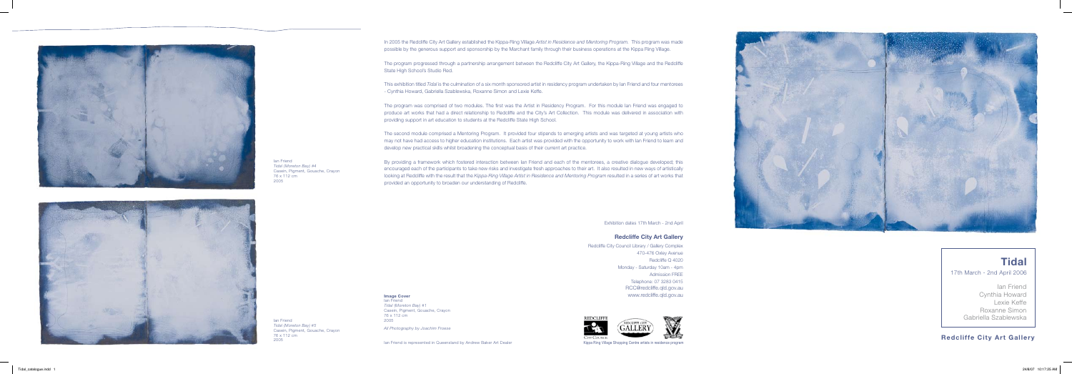## **Redcliffe City Art Gallery**



Ian Friend Cynthia Howard Lexie Keffe Roxanne Simon Gabriella Szablewska

# **Tidal**

17th March - 2nd April 2006





Ian Friend *Tidal (Moreton Bay) #5* Casein, Pigment, Gouache, Crayon 76 x 112 cm

Exhibition dates 17th March - 2nd April

### **Redcliffe City Art Gallery**

Redcliffe City Council Library / Gallery Complex 470-476 Oxley Avenue Redcliffe Q 4020 Monday - Saturday 10am - 4pm Admission FREE Telephone: 07 3283 0415 RCC@redcliffe.qld.gov.au www.redcliffe.qld.gov.au





<sup>2005</sup> Kippa Ring Village Shopping Centre artists in residence program Ian Friend is represented in Queensland by Andrew Baker Art Dealer

Ian Friend

*Tidal (Moreton Bay) #4*

Casein, Pigment, Gouache, Crayon

76 x 112 cm 2005

**Image Cover**

Ian Friend *Tidal (Moreton Bay) #1* Casein, Pigment, Gouache, Crayon 76 x 112 cm 2005

*All Photography by Joachim Froese*

In 2005 the Redcliffe City Art Gallery established the Kippa-Ring Village *Artist in Residence and Mentoring Program.* This program was made possible by the generous support and sponsorship by the Marchant family through their business operations at the Kippa Ring Village.

The program progressed through a partnership arrangement between the Redcliffe City Art Gallery, the Kippa-Ring Village and the Redcliffe State High School's Studio Red.

This exhibition titled *Tidal* is the culmination of a six month sponsored artist in residency program undertaken by Ian Friend and four mentorees - Cynthia Howard, Gabriella Szablewska, Roxanne Simon and Lexie Keffe.

The program was comprised of two modules. The first was the Artist in Residency Program. For this module Ian Friend was engaged to produce art works that had a direct relationship to Redcliffe and the City's Art Collection. This module was delivered in association with providing support in art education to students at the Redcliffe State High School.

The second module comprised a Mentoring Program. It provided four stipends to emerging artists and was targeted at young artists who may not have had access to higher education institutions. Each artist was provided with the opportunity to work with Ian Friend to learn and develop new practical skills whilst broadening the conceptual basis of their current art practice.

By providing a framework which fostered interaction between Ian Friend and each of the mentorees, a creative dialogue developed; this encouraged each of the participants to take new risks and investigate fresh approaches to their art. It also resulted in new ways of artistically looking at Redcliffe with the result that the *Kippa-Ring Village Artist in Residence and Mentoring Program* resulted in a series of art works that provided an opportunity to broaden our understanding of Redcliffe.